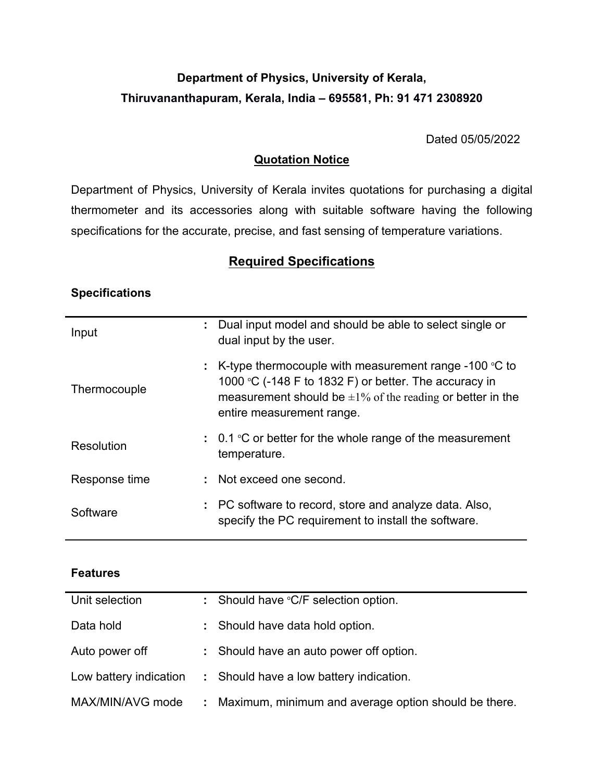# **Department of Physics, University of Kerala, Thiruvananthapuram, Kerala, India – 695581, Ph: 91 471 2308920**

Dated 05/05/2022

## **Quotation Notice**

Department of Physics, University of Kerala invites quotations for purchasing a digital thermometer and its accessories along with suitable software having the following specifications for the accurate, precise, and fast sensing of temperature variations.

## **Required Specifications**

### **Specifications**

| Input         |    | : Dual input model and should be able to select single or<br>dual input by the user.                                                                                                                                    |
|---------------|----|-------------------------------------------------------------------------------------------------------------------------------------------------------------------------------------------------------------------------|
| Thermocouple  | t. | K-type thermocouple with measurement range -100 $\degree$ C to<br>1000 °C (-148 F to 1832 F) or better. The accuracy in<br>measurement should be $\pm 1\%$ of the reading or better in the<br>entire measurement range. |
| Resolution    |    | $\sim 0.1$ °C or better for the whole range of the measurement<br>temperature.                                                                                                                                          |
| Response time |    | : Not exceed one second.                                                                                                                                                                                                |
| Software      |    | : PC software to record, store and analyze data. Also,<br>specify the PC requirement to install the software.                                                                                                           |

| Unit selection         |    | : Should have ${}^{\circ}C/F$ selection option.      |
|------------------------|----|------------------------------------------------------|
| Data hold              |    | : Should have data hold option.                      |
| Auto power off         |    | : Should have an auto power off option.              |
| Low battery indication |    | : Should have a low battery indication.              |
| MAX/MIN/AVG mode       | t. | Maximum, minimum and average option should be there. |